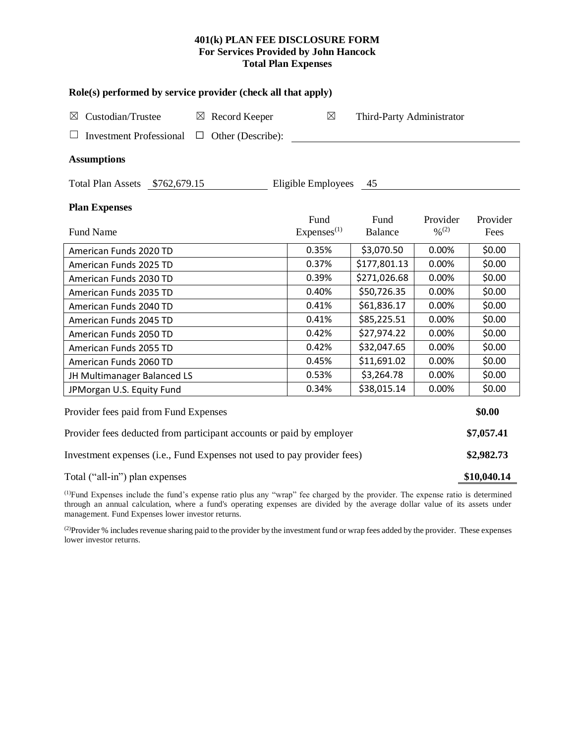# **401(k) PLAN FEE DISCLOSURE FORM For Services Provided by John Hancock Total Plan Expenses**

| Role(s) performed by service provider (check all that apply)            |                        |                    |                                          |  |  |  |  |  |  |
|-------------------------------------------------------------------------|------------------------|--------------------|------------------------------------------|--|--|--|--|--|--|
| $\boxtimes$                                                             |                        |                    |                                          |  |  |  |  |  |  |
|                                                                         |                        |                    |                                          |  |  |  |  |  |  |
|                                                                         |                        |                    |                                          |  |  |  |  |  |  |
|                                                                         | 45                     |                    |                                          |  |  |  |  |  |  |
|                                                                         |                        |                    |                                          |  |  |  |  |  |  |
| Fund                                                                    | Fund                   | Provider           | Provider                                 |  |  |  |  |  |  |
|                                                                         | <b>Balance</b>         |                    | Fees                                     |  |  |  |  |  |  |
| 0.35%                                                                   | \$3,070.50             | 0.00%              | \$0.00                                   |  |  |  |  |  |  |
| 0.37%                                                                   | \$177,801.13           | 0.00%              | \$0.00                                   |  |  |  |  |  |  |
| 0.39%                                                                   | \$271,026.68           | 0.00%              | \$0.00                                   |  |  |  |  |  |  |
| 0.40%                                                                   | \$50,726.35            | 0.00%              | \$0.00                                   |  |  |  |  |  |  |
| 0.41%                                                                   | \$61,836.17            | 0.00%              | \$0.00                                   |  |  |  |  |  |  |
| 0.41%                                                                   | \$85,225.51            | 0.00%              | \$0.00                                   |  |  |  |  |  |  |
| 0.42%                                                                   | \$27,974.22            | 0.00%              | \$0.00                                   |  |  |  |  |  |  |
| 0.42%                                                                   | \$32,047.65            | 0.00%              | \$0.00                                   |  |  |  |  |  |  |
| 0.45%                                                                   | \$11,691.02            | 0.00%              | \$0.00                                   |  |  |  |  |  |  |
| 0.53%                                                                   | \$3,264.78             | 0.00%              | \$0.00                                   |  |  |  |  |  |  |
| 0.34%                                                                   | \$38,015.14            | 0.00%              | \$0.00                                   |  |  |  |  |  |  |
|                                                                         |                        |                    | \$0.00                                   |  |  |  |  |  |  |
| Provider fees deducted from participant accounts or paid by employer    |                        |                    |                                          |  |  |  |  |  |  |
| Investment expenses (i.e., Fund Expenses not used to pay provider fees) |                        |                    |                                          |  |  |  |  |  |  |
| Total ("all-in") plan expenses                                          |                        |                    |                                          |  |  |  |  |  |  |
|                                                                         | Express <sup>(1)</sup> | Eligible Employees | Third-Party Administrator<br>$0/0^{(2)}$ |  |  |  |  |  |  |

(1)Fund Expenses include the fund's expense ratio plus any "wrap" fee charged by the provider. The expense ratio is determined through an annual calculation, where a fund's operating expenses are divided by the average dollar value of its assets under management. Fund Expenses lower investor returns.

(2) Provider % includes revenue sharing paid to the provider by the investment fund or wrap fees added by the provider. These expenses lower investor returns.